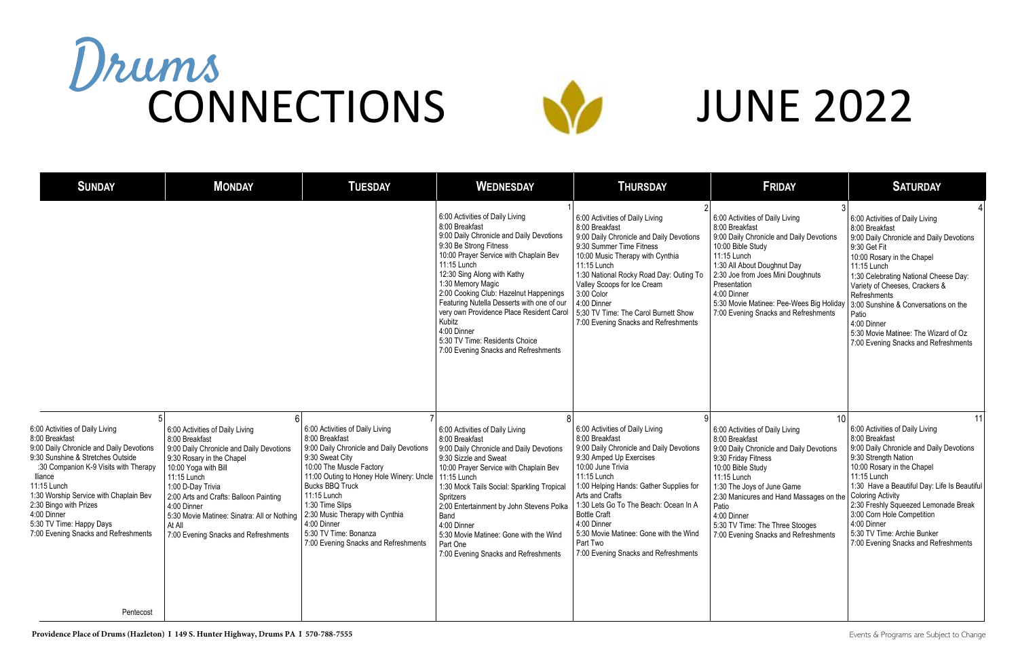| <b>SUNDAY</b>                                                                                                                                                                                                                                                                                                                                                | <b>MONDAY</b>                                                                                                                                                                                                                                                                                                                                    | <b>TUESDAY</b>                                                                                                                                                                                                                                                                                                                                                          | <b>WEDNESDAY</b>                                                                                                                                                                                                                                                                                                                                                                                                                                                            | <b>THURSDAY</b>                                                                                                                                                                                                                                                                                                                                                                                         | FRIDAY                                                                                                                                                                                                                                                                                                                               | <b>SATURDAY</b>                                                                                                                                                                                                                                                                                                                                                                                                 |
|--------------------------------------------------------------------------------------------------------------------------------------------------------------------------------------------------------------------------------------------------------------------------------------------------------------------------------------------------------------|--------------------------------------------------------------------------------------------------------------------------------------------------------------------------------------------------------------------------------------------------------------------------------------------------------------------------------------------------|-------------------------------------------------------------------------------------------------------------------------------------------------------------------------------------------------------------------------------------------------------------------------------------------------------------------------------------------------------------------------|-----------------------------------------------------------------------------------------------------------------------------------------------------------------------------------------------------------------------------------------------------------------------------------------------------------------------------------------------------------------------------------------------------------------------------------------------------------------------------|---------------------------------------------------------------------------------------------------------------------------------------------------------------------------------------------------------------------------------------------------------------------------------------------------------------------------------------------------------------------------------------------------------|--------------------------------------------------------------------------------------------------------------------------------------------------------------------------------------------------------------------------------------------------------------------------------------------------------------------------------------|-----------------------------------------------------------------------------------------------------------------------------------------------------------------------------------------------------------------------------------------------------------------------------------------------------------------------------------------------------------------------------------------------------------------|
|                                                                                                                                                                                                                                                                                                                                                              |                                                                                                                                                                                                                                                                                                                                                  |                                                                                                                                                                                                                                                                                                                                                                         | 6:00 Activities of Daily Living<br>8:00 Breakfast<br>9:00 Daily Chronicle and Daily Devotions<br>9:30 Be Strong Fitness<br>10:00 Prayer Service with Chaplain Bev<br>11:15 Lunch<br>12:30 Sing Along with Kathy<br>1:30 Memory Magic<br>2:00 Cooking Club: Hazelnut Happenings<br>Featuring Nutella Desserts with one of our<br>very own Providence Place Resident Carol<br>Kubitz<br>4:00 Dinner<br>5:30 TV Time: Residents Choice<br>7:00 Evening Snacks and Refreshments | 6:00 Activities of Daily Living<br>8:00 Breakfast<br>9:00 Daily Chronicle and Daily Devotions<br>9:30 Summer Time Fitness<br>10:00 Music Therapy with Cynthia<br>11:15 Lunch<br>1:30 National Rocky Road Day: Outing To<br>Valley Scoops for Ice Cream<br>3:00 Color<br>4:00 Dinner<br>5;30 TV Time: The Carol Burnett Show<br>7:00 Evening Snacks and Refreshments                                     | 6:00 Activities of Daily Living<br>8:00 Breakfast<br>9:00 Daily Chronicle and Daily Devotions<br>10:00 Bible Study<br>11:15 Lunch<br>1:30 All About Doughnut Day<br>2:30 Joe from Joes Mini Doughnuts<br>Presentation<br>4:00 Dinner<br>5:30 Movie Matinee: Pee-Wees Big Holiday<br>7:00 Evening Snacks and Refreshments             | 6:00 Activities of Daily Living<br>8:00 Breakfast<br>9:00 Daily Chronicle and Daily Devotions<br>9:30 Get Fit<br>10:00 Rosary in the Chapel<br>11:15 Lunch<br>1:30 Celebrating National Cheese Day:<br>Variety of Cheeses, Crackers &<br>Refreshments<br>3:00 Sunshine & Conversations on the<br>Patio<br>4:00 Dinner<br>5:30 Movie Matinee: The Wizard of Oz<br>7:00 Evening Snacks and Refreshments           |
| 6:00 Activities of Daily Living<br>8:00 Breakfast<br>9:00 Daily Chronicle and Daily Devotions<br>9:30 Sunshine & Stretches Outside<br>:30 Companion K-9 Visits with Therapy<br>lliance<br>11:15 Lunch<br>1:30 Worship Service with Chaplain Bev<br>2:30 Bingo with Prizes<br>4:00 Dinner<br>5:30 TV Time: Happy Days<br>7:00 Evening Snacks and Refreshments | 6:00 Activities of Daily Living<br>8:00 Breakfast<br>9:00 Daily Chronicle and Daily Devotions<br>9:30 Rosary in the Chapel<br>10:00 Yoga with Bill<br>11:15 Lunch<br>1:00 D-Day Trivia<br>2:00 Arts and Crafts: Balloon Painting<br>4:00 Dinner<br>5:30 Movie Matinee: Sinatra: All or Nothing<br>At All<br>7:00 Evening Snacks and Refreshments | 6:00 Activities of Daily Living<br>8:00 Breakfast<br>9:00 Daily Chronicle and Daily Devotions<br>9:30 Sweat City<br>10:00 The Muscle Factory<br>11:00 Outing to Honey Hole Winery: Uncle<br><b>Bucks BBQ Truck</b><br>11:15 Lunch<br>1:30 Time Slips<br>2:30 Music Therapy with Cynthia<br>4:00 Dinner<br>5:30 TV Time: Bonanza<br>7:00 Evening Snacks and Refreshments | 6:00 Activities of Daily Living<br>8:00 Breakfast<br>9:00 Daily Chronicle and Daily Devotions<br>9:30 Sizzle and Sweat<br>10:00 Prayer Service with Chaplain Bev<br>11:15 Lunch<br>1:30 Mock Tails Social: Sparkling Tropical<br>Spritzers<br>2:00 Entertainment by John Stevens Polka<br>Band<br>4:00 Dinner<br>5:30 Movie Matinee: Gone with the Wind<br>Part One<br>7:00 Evening Snacks and Refreshments                                                                 | 6:00 Activities of Daily Living<br>8:00 Breakfast<br>9:00 Daily Chronicle and Daily Devotions<br>9:30 Amped Up Exercises<br>10:00 June Trivia<br>11:15 Lunch<br>1:00 Helping Hands: Gather Supplies for<br>Arts and Crafts<br>1:30 Lets Go To The Beach: Ocean In A<br><b>Bottle Craft</b><br>4:00 Dinner<br>5:30 Movie Matinee: Gone with the Wind<br>Part Two<br>7:00 Evening Snacks and Refreshments | 6:00 Activities of Daily Living<br>8:00 Breakfast<br>9:00 Daily Chronicle and Daily Devotions<br>9:30 Friday Fitness<br>10:00 Bible Study<br>11:15 Lunch<br>1:30 The Joys of June Game<br>2:30 Manicures and Hand Massages on the<br>Patio<br>4:00 Dinner<br>5:30 TV Time: The Three Stooges<br>7:00 Evening Snacks and Refreshments | 11<br>6:00 Activities of Daily Living<br>8:00 Breakfast<br>9:00 Daily Chronicle and Daily Devotions<br>9:30 Strength Nation<br>10:00 Rosary in the Chapel<br>11:15 Lunch<br>1:30 Have a Beautiful Day: Life Is Beautifu<br><b>Coloring Activity</b><br>2:30 Freshly Squeezed Lemonade Break<br>3:00 Corn Hole Competition<br>4:00 Dinner<br>5:30 TV Time: Archie Bunker<br>7:00 Evening Snacks and Refreshments |
| Pentecost                                                                                                                                                                                                                                                                                                                                                    |                                                                                                                                                                                                                                                                                                                                                  |                                                                                                                                                                                                                                                                                                                                                                         |                                                                                                                                                                                                                                                                                                                                                                                                                                                                             |                                                                                                                                                                                                                                                                                                                                                                                                         |                                                                                                                                                                                                                                                                                                                                      |                                                                                                                                                                                                                                                                                                                                                                                                                 |

## JUNE 2022